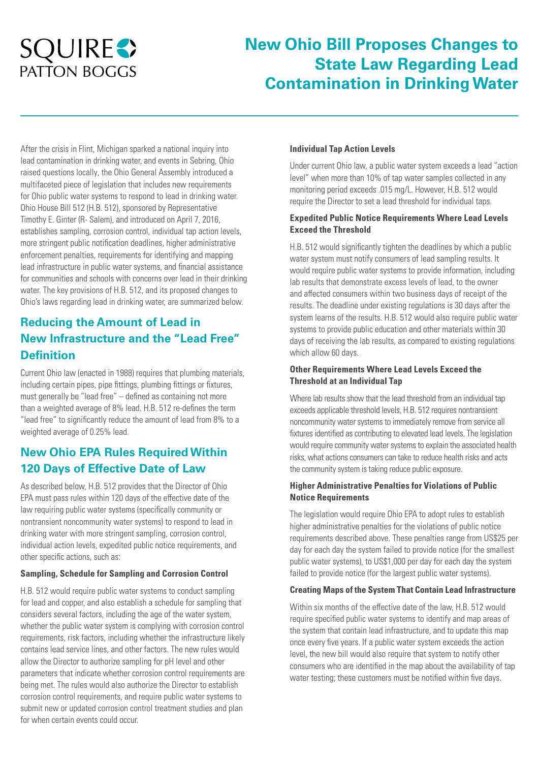# **SQUIRES PATTON BOGGS**

## **New Ohio Bill Proposes Changes to State Law Regarding Lead Contamination in Drinking Water**

After the crisis in Flint, Michigan sparked a national inquiry into lead contamination in drinking water, and events in Sebring, Ohio raised questions locally, the Ohio General Assembly introduced a multifaceted piece of legislation that includes new requirements for Ohio public water systems to respond to lead in drinking water. Ohio House Bill 512 (H.B. 512), sponsored by Representative Timothy E. Ginter (R- Salem), and introduced on April 7, 2016, establishes sampling, corrosion control, individual tap action levels, more stringent public notification deadlines, higher administrative enforcement penalties, requirements for identifying and mapping lead infrastructure in public water systems, and financial assistance for communities and schools with concerns over lead in their drinking water. The key provisions of H.B. 512, and its proposed changes to Ohio's laws regarding lead in drinking water, are summarized below.

## **Reducing the Amount of Lead in New Infrastructure and the "Lead Free" Definition**

Current Ohio law (enacted in 1988) requires that plumbing materials, including certain pipes, pipe fittings, plumbing fittings or fixtures, must generally be "lead free" – defined as containing not more than a weighted average of 8% lead. H.B. 512 re-defines the term "lead free" to significantly reduce the amount of lead from 8% to a weighted average of 0.25% lead.

## **New Ohio EPA Rules Required Within 120 Days of Effective Date of Law**

As described below, H.B. 512 provides that the Director of Ohio EPA must pass rules within 120 days of the effective date of the law requiring public water systems (specifically community or nontransient noncommunity water systems) to respond to lead in drinking water with more stringent sampling, corrosion control, individual action levels, expedited public notice requirements, and other specific actions, such as:

#### **Sampling, Schedule for Sampling and Corrosion Control**

H.B. 512 would require public water systems to conduct sampling for lead and copper, and also establish a schedule for sampling that considers several factors, including the age of the water system, whether the public water system is complying with corrosion control requirements, risk factors, including whether the infrastructure likely contains lead service lines, and other factors. The new rules would allow the Director to authorize sampling for pH level and other parameters that indicate whether corrosion control requirements are being met. The rules would also authorize the Director to establish corrosion control requirements, and require public water systems to submit new or updated corrosion control treatment studies and plan for when certain events could occur.

#### **Individual Tap Action Levels**

Under current Ohio law, a public water system exceeds a lead "action level" when more than 10% of tap water samples collected in any monitoring period exceeds .015 mg/L. However, H.B. 512 would require the Director to set a lead threshold for individual taps.

#### **Expedited Public Notice Requirements Where Lead Levels Exceed the Threshold**

H.B. 512 would significantly tighten the deadlines by which a public water system must notify consumers of lead sampling results. It would require public water systems to provide information, including lab results that demonstrate excess levels of lead, to the owner and affected consumers within two business days of receipt of the results. The deadline under existing regulations is 30 days after the system learns of the results. H.B. 512 would also require public water systems to provide public education and other materials within 30 days of receiving the lab results, as compared to existing regulations which allow 60 days.

#### **Other Requirements Where Lead Levels Exceed the Threshold at an Individual Tap**

Where lab results show that the lead threshold from an individual tap exceeds applicable threshold levels, H.B. 512 requires nontransient noncommunity water systems to immediately remove from service all fixtures identified as contributing to elevated lead levels. The legislation would require community water systems to explain the associated health risks, what actions consumers can take to reduce health risks and acts the community system is taking reduce public exposure.

#### **Higher Administrative Penalties for Violations of Public Notice Requirements**

The legislation would require Ohio EPA to adopt rules to establish higher administrative penalties for the violations of public notice requirements described above. These penalties range from US\$25 per day for each day the system failed to provide notice (for the smallest public water systems), to US\$1,000 per day for each day the system failed to provide notice (for the largest public water systems).

#### **Creating Maps of the System That Contain Lead Infrastructure**

Within six months of the effective date of the law, H.B. 512 would require specified public water systems to identify and map areas of the system that contain lead infrastructure, and to update this map once every five years. If a public water system exceeds the action level, the new bill would also require that system to notify other consumers who are identified in the map about the availability of tap water testing; these customers must be notified within five days.